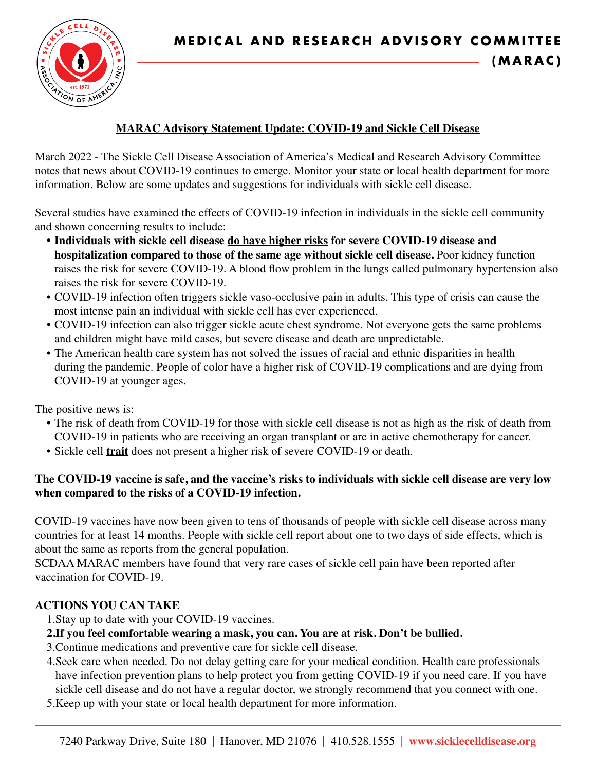

## **MARAC Advisory Statement Update: COVID-19 and Sickle Cell Disease**

March 2022 - The Sickle Cell Disease Association of America's Medical and Research Advisory Committee notes that news about COVID-19 continues to emerge. Monitor your state or local health department for more information. Below are some updates and suggestions for individuals with sickle cell disease.

Several studies have examined the effects of COVID-19 infection in individuals in the sickle cell community and shown concerning results to include:

- **Individuals with sickle cell disease do have higher risks for severe COVID-19 disease and hospitalization compared to those of the same age without sickle cell disease.** Poor kidney function raises the risk for severe COVID-19. A blood flow problem in the lungs called pulmonary hypertension also raises the risk for severe COVID-19.
- COVID-19 infection often triggers sickle vaso-occlusive pain in adults. This type of crisis can cause the most intense pain an individual with sickle cell has ever experienced.
- COVID-19 infection can also trigger sickle acute chest syndrome. Not everyone gets the same problems and children might have mild cases, but severe disease and death are unpredictable.
- The American health care system has not solved the issues of racial and ethnic disparities in health during the pandemic. People of color have a higher risk of COVID-19 complications and are dying from COVID-19 at younger ages.

The positive news is:

- The risk of death from COVID-19 for those with sickle cell disease is not as high as the risk of death from COVID-19 in patients who are receiving an organ transplant or are in active chemotherapy for cancer.
- Sickle cell **trait** does not present a higher risk of severe COVID-19 or death.

## **The COVID-19 vaccine is safe, and the vaccine's risks to individuals with sickle cell disease are very low when compared to the risks of a COVID-19 infection.**

COVID-19 vaccines have now been given to tens of thousands of people with sickle cell disease across many countries for at least 14 months. People with sickle cell report about one to two days of side effects, which is about the same as reports from the general population.

SCDAA MARAC members have found that very rare cases of sickle cell pain have been reported after vaccination for COVID-19.

# **ACTIONS YOU CAN TAKE**

1.Stay up to date with your COVID-19 vaccines.

# **2.If you feel comfortable wearing a mask, you can. You are at risk. Don't be bullied.**

- 3.Continue medications and preventive care for sickle cell disease.
- 4.Seek care when needed. Do not delay getting care for your medical condition. Health care professionals have infection prevention plans to help protect you from getting COVID-19 if you need care. If you have sickle cell disease and do not have a regular doctor, we strongly recommend that you connect with one.
- 5.Keep up with your state or local health department for more information.